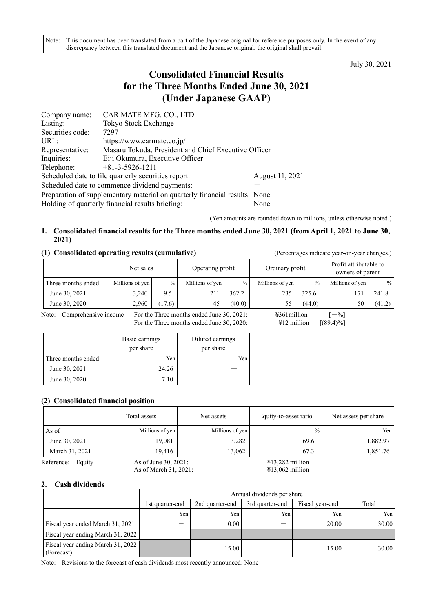July 30, 2021

# **Consolidated Financial Results for the Three Months Ended June 30, 2021 (Under Japanese GAAP)**

| Company name:                                                              | CAR MATE MFG. CO., LTD.                              |                 |  |  |  |
|----------------------------------------------------------------------------|------------------------------------------------------|-----------------|--|--|--|
| Listing:                                                                   | Tokyo Stock Exchange                                 |                 |  |  |  |
| Securities code:                                                           | 7297                                                 |                 |  |  |  |
| URL:                                                                       | https://www.carmate.co.jp/                           |                 |  |  |  |
| Representative:                                                            | Masaru Tokuda, President and Chief Executive Officer |                 |  |  |  |
| Inquiries:                                                                 | Eiji Okumura, Executive Officer                      |                 |  |  |  |
| Telephone:                                                                 | $+81-3-5926-1211$                                    |                 |  |  |  |
|                                                                            | Scheduled date to file quarterly securities report:  | August 11, 2021 |  |  |  |
|                                                                            | Scheduled date to commence dividend payments:        |                 |  |  |  |
| Preparation of supplementary material on quarterly financial results: None |                                                      |                 |  |  |  |
|                                                                            | Holding of quarterly financial results briefing:     | None            |  |  |  |

(Yen amounts are rounded down to millions, unless otherwise noted.)

## **1. Consolidated financial results for the Three months ended June 30, 2021 (from April 1, 2021 to June 30, 2021)**

## **(1) Consolidated operating results (cumulative)** (Percentages indicate year-on-year changes.)

|                    | Net sales       |        | Operating profit |        | Ordinary profit |               | Profit attributable to<br>owners of parent |        |
|--------------------|-----------------|--------|------------------|--------|-----------------|---------------|--------------------------------------------|--------|
| Three months ended | Millions of yen | $\%$   | Millions of yen  | $\%$   | Millions of yen | $\frac{0}{0}$ | Millions of yen                            | $\%$   |
| June 30, 2021      | 3,240           | 9.5    | 211              | 362.2  | 235             | 325.6         |                                            | 241.8  |
| June 30, 2020      | 2,960           | (17.6) |                  | (40.0) |                 | (44.0)        | 50                                         | (41.2) |

Note: Comprehensive income For the Three months ended June 30, 2021:  $\qquad \qquad$  4361million [-%]<br>For the Three months ended June 30, 2020:  $\qquad \qquad$  412 million [(89.4)%] For the Three months ended June 30, 2020:

|                    | Basic earnings<br>per share | Diluted earnings<br>per share |
|--------------------|-----------------------------|-------------------------------|
| Three months ended | Yen                         | Yen                           |
| June 30, 2021      | 24.26                       |                               |
| June 30, 2020      | 7.10                        |                               |

### **(2) Consolidated financial position**

|                      | Total assets         | Net assets      | Equity-to-asset ratio | Net assets per share |
|----------------------|----------------------|-----------------|-----------------------|----------------------|
| As of                | Millions of yen      | Millions of yen | $\frac{0}{0}$         | Yen                  |
| June 30, 2021        | 19,081               | 13,282          | 69.6                  | 1,882.97             |
| March 31, 2021       | 19.416               | 13,062          | 67.3                  | 1,851.76             |
| Reference:<br>Equity | As of June 30, 2021: |                 | $413,282$ million     |                      |

As of March 31, 2021: ¥13,062 million

## **2. Cash dividends**

|                                                 |                 | Annual dividends per share |                 |                 |       |  |  |  |
|-------------------------------------------------|-----------------|----------------------------|-----------------|-----------------|-------|--|--|--|
|                                                 | 1st quarter-end | 2nd quarter-end            | 3rd quarter-end | Fiscal year-end | Total |  |  |  |
|                                                 | Yen.            | Yen                        | Yen             | Yen             | Yen I |  |  |  |
| Fiscal year ended March 31, 2021                |                 | 10.00                      |                 | 20.00           | 30.00 |  |  |  |
| Fiscal year ending March 31, 2022               | –               |                            |                 |                 |       |  |  |  |
| Fiscal year ending March 31, 2022<br>(Forecast) |                 | 15.00                      |                 | 15.00           | 30.00 |  |  |  |

Note: Revisions to the forecast of cash dividends most recently announced: None